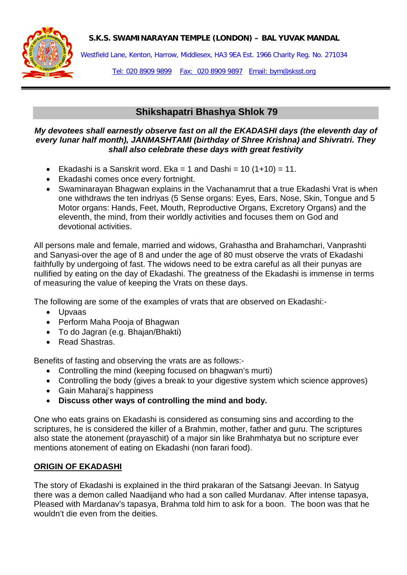#### **S.K.S. SWAMINARAYAN TEMPLE (LONDON) – BAL YUVAK MANDAL**



Westfield Lane, Kenton, Harrow, Middlesex, HA3 9EA Est. 1966 Charity Reg. No. 271034

Tel: 020 8909 9899 Fax: 020 8909 9897 Email: bym@sksst.org

## **Shikshapatri Bhashya Shlok 79**

#### *My devotees shall earnestly observe fast on all the EKADASHI days (the eleventh day of every lunar half month), JANMASHTAMI (birthday of Shree Krishna) and Shivratri. They shall also celebrate these days with great festivity*

- Ekadashi is a Sanskrit word. Eka = 1 and Dashi =  $10(1+10) = 11$ .
- Ekadashi comes once every fortnight.
- Swaminarayan Bhagwan explains in the Vachanamrut that a true Ekadashi Vrat is when one withdraws the ten indriyas (5 Sense organs: Eyes, Ears, Nose, Skin, Tongue and 5 Motor organs: Hands, Feet, Mouth, Reproductive Organs, Excretory Organs) and the eleventh, the mind, from their worldly activities and focuses them on God and devotional activities.

All persons male and female, married and widows, Grahastha and Brahamchari, Vanprashti and Sanyasi-over the age of 8 and under the age of 80 must observe the vrats of Ekadashi faithfully by undergoing of fast. The widows need to be extra careful as all their punyas are nullified by eating on the day of Ekadashi. The greatness of the Ekadashi is immense in terms of measuring the value of keeping the Vrats on these days.

The following are some of the examples of vrats that are observed on Ekadashi:-

- Upvaas
- Perform Maha Pooja of Bhagwan
- To do Jagran (e.g. Bhajan/Bhakti)
- Read Shastras.

Benefits of fasting and observing the vrats are as follows:-

- Controlling the mind (keeping focused on bhagwan's murti)
- Controlling the body (gives a break to your digestive system which science approves)
- Gain Maharaj's happiness
- **Discuss other ways of controlling the mind and body.**

One who eats grains on Ekadashi is considered as consuming sins and according to the scriptures, he is considered the killer of a Brahmin, mother, father and guru. The scriptures also state the atonement (prayaschit) of a major sin like Brahmhatya but no scripture ever mentions atonement of eating on Ekadashi (non farari food).

#### **ORIGIN OF EKADASHI**

The story of Ekadashi is explained in the third prakaran of the Satsangi Jeevan. In Satyug there was a demon called Naadijand who had a son called Murdanav. After intense tapasya, Pleased with Mardanav's tapasya, Brahma told him to ask for a boon. The boon was that he wouldn't die even from the deities.